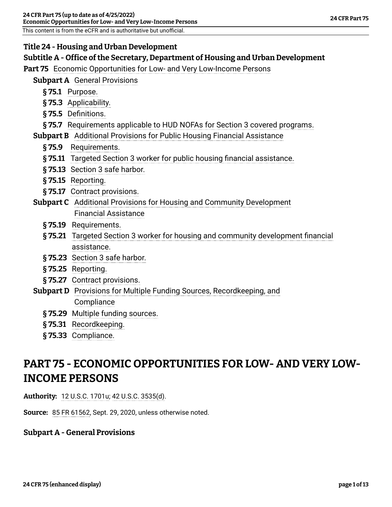### **Title 24 - Housing and Urban Development**

This content is from the eCFR and is authoritative but unofficial.

### **Subtitle A - Office of the Secretary, Department of Housing and Urban Development**

**Part 75** [Economic Opportunities for Low- and Very Low-Income Persons](#page-0-0)

- **Subpart A** [General Provisions](#page-0-1)
	- **§ 75.1** [Purpose.](#page-0-2)
	- **§ 75.3** [Applicability.](#page-1-0)
	- **§ 75.5** [Definitions.](#page-2-0)
	- **§ 75.7** [Requirements applicable to HUD NOFAs for Section 3 covered programs.](#page-3-0)

**Subpart B** [Additional Provisions for Public Housing Financial Assistance](#page-4-0)

- **§ 75.9** [Requirements.](#page-4-1)
- **§ 75.11** [Targeted Section 3 worker for public housing financial assistance.](#page-4-2)
- **§ 75.13** [Section 3 safe harbor.](#page-5-0)
- **§ 75.15** [Reporting.](#page-5-1)
- **§ 75.17** [Contract provisions.](#page-7-0)
- **Subpart C** [Additional Provisions for Housing and Community Development](#page-7-1) [Financial Assistance](#page-7-1)
	- **§ 75.19** [Requirements.](#page-7-2)
	- **§ 75.21** [Targeted Section 3 worker for housing and community development financial](#page-8-0) [assistance.](#page-8-0)
	- **§ 75.23** [Section 3 safe harbor.](#page-8-1)
	- **§ 75.25** [Reporting.](#page-9-0)
	- **§ 75.27** [Contract provisions.](#page-10-0)
- **Subpart D** [Provisions for Multiple Funding Sources, Recordkeeping, and](#page-10-1) **[Compliance](#page-10-1)** 
	- **§ 75.29** [Multiple funding sources.](#page-11-0)
	- **§ 75.31** [Recordkeeping.](#page-11-1)
	- **§ 75.33** [Compliance.](#page-12-0)

# <span id="page-0-0"></span>**PART 75 - ECONOMIC OPPORTUNITIES FOR LOW- AND VERY LOW-INCOME PERSONS**

**Authority:** [12 U.S.C. 1701u](https://www.govinfo.gov/link/uscode/12/1701u); [42 U.S.C. 3535\(d\)](https://www.govinfo.gov/link/uscode/42/3535).

<span id="page-0-1"></span>**Source:** [85 FR 61562](https://www.federalregister.gov/citation/85-FR-61562), Sept. 29, 2020, unless otherwise noted.

# <span id="page-0-2"></span>**Subpart A - General Provisions**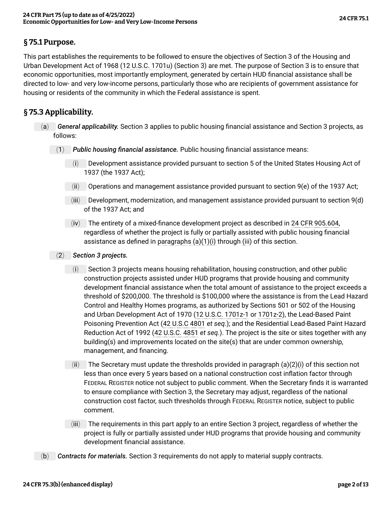### **§ 75.1 Purpose.**

This part establishes the requirements to be followed to ensure the objectives of Section 3 of the Housing and Urban Development Act of 1968 [\(12 U.S.C. 1701u\)](https://www.govinfo.gov/link/uscode/12/1701u) (Section 3) are met. The purpose of Section 3 is to ensure that economic opportunities, most importantly employment, generated by certain HUD financial assistance shall be directed to low- and very low-income persons, particularly those who are recipients of government assistance for housing or residents of the community in which the Federal assistance is spent.

### <span id="page-1-0"></span>**§ 75.3 Applicability.**

- <span id="page-1-5"></span><span id="page-1-4"></span><span id="page-1-3"></span><span id="page-1-2"></span><span id="page-1-1"></span>(a) *General applicability.* Section 3 applies to public housing financial assistance and Section 3 projects, as follows:
	- (1) *Public housing financial assistance.* Public housing financial assistance means:
		- (i) Development assistance provided pursuant to section 5 of the United States Housing Act of 1937 (the 1937 Act);
		- $(i)$  Operations and management assistance provided pursuant to section 9(e) of the 1937 Act;
		- (iii) Development, modernization, and management assistance provided pursuant to section 9(d) of the 1937 Act; and
		- (iv) The entirety of a mixed-finance development project as described in [24 CFR 905.604](https://www.ecfr.gov/current/title-24/section-905.604/), regardless of whether the project is fully or partially assisted with public housing financial assistance as defined in [paragraphs \(a\)\(1\)\(i\)](#page-1-1) through [\(iii\)](#page-1-2) of this section.
	- (2) *Section 3 projects.*
		- (i) Section 3 projects means housing rehabilitation, housing construction, and other public construction projects assisted under HUD programs that provide housing and community development financial assistance when the total amount of assistance to the project exceeds a threshold of \$200,000. The threshold is \$100,000 where the assistance is from the Lead Hazard Control and Healthy Homes programs, as authorized by Sections 501 or 502 of the Housing and Urban Development Act of 1970 ([12 U.S.C. 1701z-1](https://www.govinfo.gov/link/uscode/12/1701z-1) or [1701z-2](https://www.govinfo.gov/link/uscode/12/1701z-2)), the Lead-Based Paint Poisoning Prevention Act ([42 U.S.C 4801](https://www.govinfo.gov/link/uscode/42/4801) *et seq.*); and the Residential Lead-Based Paint Hazard Reduction Act of 1992 [\(42 U.S.C. 4851](https://www.govinfo.gov/link/uscode/42/4851) *et seq.*). The project is the site or sites together with any building(s) and improvements located on the site(s) that are under common ownership, management, and financing.
		- (ii) The Secretary must update the thresholds provided in [paragraph \(a\)\(2\)\(i\)](#page-1-3) of this section not less than once every 5 years based on a national construction cost inflation factor through FEDERAL REGISTER notice not subject to public comment. When the Secretary finds it is warranted to ensure compliance with Section 3, the Secretary may adjust, regardless of the national construction cost factor, such thresholds through FEDERAL REGISTER notice, subject to public comment.
		- (iii) The requirements in this part apply to an entire Section 3 project, regardless of whether the project is fully or partially assisted under HUD programs that provide housing and community development financial assistance.
- (b) *Contracts for materials.* Section 3 requirements do not apply to material supply contracts.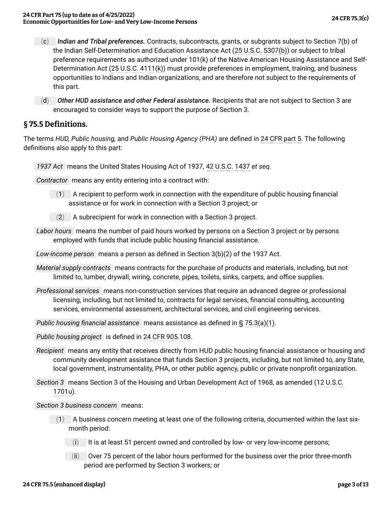- (c) *Indian and Tribal preferences.* Contracts, subcontracts, grants, or subgrants subject to Section 7(b) of the Indian Self-Determination and Education Assistance Act ([25 U.S.C. 5307\(b\)\)](https://www.govinfo.gov/link/uscode/25/5307) or subject to tribal preference requirements as authorized under 101(k) of the Native American Housing Assistance and Self-Determination Act ([25 U.S.C. 4111\(k\)](https://www.govinfo.gov/link/uscode/25/4111)) must provide preferences in employment, training, and business opportunities to Indians and Indian organizations, and are therefore not subject to the requirements of this part.
- (d) *Other HUD assistance and other Federal assistance.* Recipients that are not subject to Section 3 are encouraged to consider ways to support the purpose of Section 3.

#### <span id="page-2-0"></span>**§ 75.5 Definitions.**

The terms *HUD, Public housing,* and *Public Housing Agency (PHA)* are defined in [24 CFR part 5.](https://www.ecfr.gov/current/title-24/part-5/) The following definitions also apply to this part:

*1937 Act* means the United States Housing Act of 1937, [42 U.S.C. 1437](https://www.govinfo.gov/link/uscode/42/1437) *et seq.*

*Contractor* means any entity entering into a contract with:

- $(1)$  A recipient to perform work in connection with the expenditure of public housing financial assistance or for work in connection with a Section 3 project; or
- $(2)$  A subrecipient for work in connection with a Section 3 project.
- *Labor hours* means the number of paid hours worked by persons on a Section 3 project or by persons employed with funds that include public housing financial assistance.

*Low-income person* means a person as defined in Section 3(b)(2) of the 1937 Act.

- *Material supply contracts* means contracts for the purchase of products and materials, including, but not limited to, lumber, drywall, wiring, concrete, pipes, toilets, sinks, carpets, and office supplies.
- *Professional services* means non-construction services that require an advanced degree or professional licensing, including, but not limited to, contracts for legal services, financial consulting, accounting services, environmental assessment, architectural services, and civil engineering services.
- *Public housing financial assistance* means assistance as defined in [§ 75.3\(a\)\(1\)](#page-1-4).

*Public housing project* is defined in [24 CFR 905.108](https://www.ecfr.gov/current/title-24/section-905.108/).

*Recipient* means any entity that receives directly from HUD public housing financial assistance or housing and community development assistance that funds Section 3 projects, including, but not limited to, any State, local government, instrumentality, PHA, or other public agency, public or private nonprofit organization.

*Section 3* means Section 3 of the Housing and Urban Development Act of 1968, as amended ([12 U.S.C.](https://www.govinfo.gov/link/uscode/12/1701u) [1701u\)](https://www.govinfo.gov/link/uscode/12/1701u).

*Section 3 business concern* means:

- $(1)$  A business concern meeting at least one of the following criteria, documented within the last sixmonth period:
	- (i) It is at least 51 percent owned and controlled by low- or very low-income persons;
	- (ii) Over 75 percent of the labor hours performed for the business over the prior three-month period are performed by Section 3 workers; or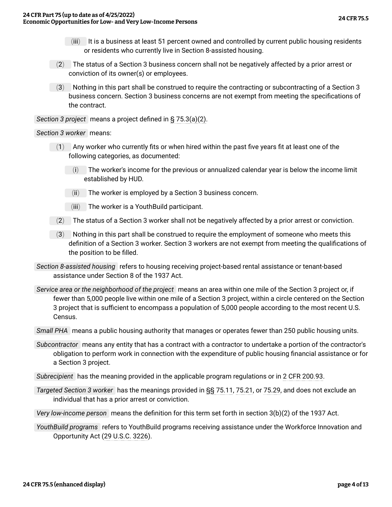- (iii) It is a business at least 51 percent owned and controlled by current public housing residents or residents who currently live in Section 8-assisted housing.
- (2) The status of a Section 3 business concern shall not be negatively affected by a prior arrest or conviction of its owner(s) or employees.
- (3) Nothing in this part shall be construed to require the contracting or subcontracting of a Section 3 business concern. Section 3 business concerns are not exempt from meeting the specifications of the contract.

*Section 3 project* means a project defined in [§ 75.3\(a\)\(2\).](#page-1-5)

#### *Section 3 worker* means:

- $(1)$  Any worker who currently fits or when hired within the past five years fit at least one of the following categories, as documented:
	- (i) The worker's income for the previous or annualized calendar year is below the income limit established by HUD.
	- (ii) The worker is employed by a Section 3 business concern.
	- (iii) The worker is a YouthBuild participant.
- (2) The status of a Section 3 worker shall not be negatively affected by a prior arrest or conviction.
- (3) Nothing in this part shall be construed to require the employment of someone who meets this definition of a Section 3 worker. Section 3 workers are not exempt from meeting the qualifications of the position to be filled.
- *Section 8-assisted housing* refers to housing receiving project-based rental assistance or tenant-based assistance under Section 8 of the 1937 Act.
- *Service area or the neighborhood of the project* means an area within one mile of the Section 3 project or, if fewer than 5,000 people live within one mile of a Section 3 project, within a circle centered on the Section 3 project that is sufficient to encompass a population of 5,000 people according to the most recent U.S. Census.
- *Small PHA* means a public housing authority that manages or operates fewer than 250 public housing units.
- *Subcontractor* means any entity that has a contract with a contractor to undertake a portion of the contractor's obligation to perform work in connection with the expenditure of public housing financial assistance or for a Section 3 project.
- *Subrecipient* has the meaning provided in the applicable program regulations or in [2 CFR 200.93.](https://www.ecfr.gov/current/title-2/section-200.93/)
- *Targeted Section 3 worker* has the meanings provided in [§§ 75.11](#page-4-2), [75.21](#page-8-0), or [75.29](#page-11-0), and does not exclude an individual that has a prior arrest or conviction.
- *Very low-income person* means the definition for this term set forth in section 3(b)(2) of the 1937 Act.
- <span id="page-3-0"></span>*YouthBuild programs* refers to YouthBuild programs receiving assistance under the Workforce Innovation and Opportunity Act ([29 U.S.C. 3226](https://www.govinfo.gov/link/uscode/29/3226)).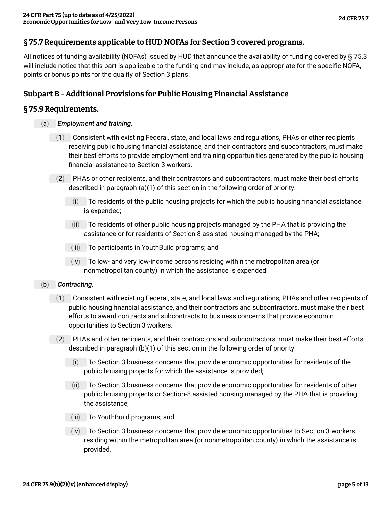# **§ 75.7 Requirements applicable to HUD NOFAs for Section 3 covered programs.**

All notices of funding availability (NOFAs) issued by HUD that announce the availability of funding covered by [§ 75.3](#page-12-0) will include notice that this part is applicable to the funding and may include, as appropriate for the specific NOFA, points or bonus points for the quality of Section 3 plans.

### <span id="page-4-0"></span>**Subpart B - Additional Provisions for Public Housing Financial Assistance**

#### <span id="page-4-3"></span><span id="page-4-1"></span>**§ 75.9 Requirements.**

- (a) *Employment and training.*
	- (1) Consistent with existing Federal, state, and local laws and regulations, PHAs or other recipients receiving public housing financial assistance, and their contractors and subcontractors, must make their best efforts to provide employment and training opportunities generated by the public housing financial assistance to Section 3 workers.
	- (2) PHAs or other recipients, and their contractors and subcontractors, must make their best efforts described in [paragraph \(a\)\(1\)](#page-4-3) of this section in the following order of priority:
		- (i) To residents of the public housing projects for which the public housing financial assistance is expended;
		- (ii) To residents of other public housing projects managed by the PHA that is providing the assistance or for residents of Section 8-assisted housing managed by the PHA;
		- (iii) To participants in YouthBuild programs; and
		- (iv) To low- and very low-income persons residing within the metropolitan area (or nonmetropolitan county) in which the assistance is expended.
- <span id="page-4-4"></span><span id="page-4-2"></span>(b) *Contracting.*
	- (1) Consistent with existing Federal, state, and local laws and regulations, PHAs and other recipients of public housing financial assistance, and their contractors and subcontractors, must make their best efforts to award contracts and subcontracts to business concerns that provide economic opportunities to Section 3 workers.
	- $(2)$  PHAs and other recipients, and their contractors and subcontractors, must make their best efforts described in [paragraph \(b\)\(1\)](#page-4-4) of this section in the following order of priority:
		- (i) To Section 3 business concerns that provide economic opportunities for residents of the public housing projects for which the assistance is provided;
		- (ii) To Section 3 business concerns that provide economic opportunities for residents of other public housing projects or Section-8 assisted housing managed by the PHA that is providing the assistance;
		- (iii) To YouthBuild programs; and
		- (iv) To Section 3 business concerns that provide economic opportunities to Section 3 workers residing within the metropolitan area (or nonmetropolitan county) in which the assistance is provided.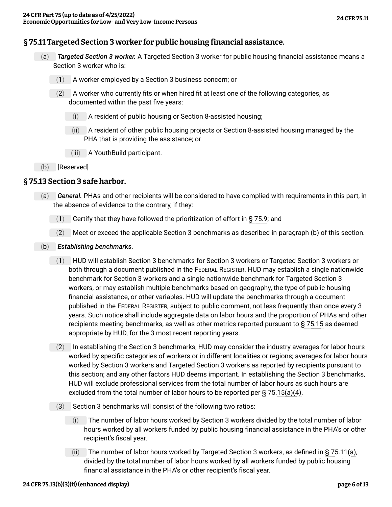### <span id="page-5-3"></span>**§ 75.11 Targeted Section 3 worker for public housing financial assistance.**

- (a) *Targeted Section 3 worker.* A Targeted Section 3 worker for public housing financial assistance means a Section 3 worker who is:
	- (1) A worker employed by a Section 3 business concern; or
	- $(2)$  A worker who currently fits or when hired fit at least one of the following categories, as documented within the past five years:
		- (i) A resident of public housing or Section 8-assisted housing;
		- (ii) A resident of other public housing projects or Section 8-assisted housing managed by the PHA that is providing the assistance; or
		- (iii) A YouthBuild participant.
- (b) [Reserved]

#### <span id="page-5-0"></span>**§ 75.13 Section 3 safe harbor.**

- (a) *General.* PHAs and other recipients will be considered to have complied with requirements in this part, in the absence of evidence to the contrary, if they:
	- (1) Certify that they have followed the prioritization of effort in  $\S$  75.9; and
	- (2) Meet or exceed the applicable Section 3 benchmarks as described in [paragraph \(b\)](#page-5-2) of this section.
- <span id="page-5-2"></span><span id="page-5-1"></span>(b) *Establishing benchmarks.*
	- (1) HUD will establish Section 3 benchmarks for Section 3 workers or Targeted Section 3 workers or both through a document published in the FEDERAL REGISTER. HUD may establish a single nationwide benchmark for Section 3 workers and a single nationwide benchmark for Targeted Section 3 workers, or may establish multiple benchmarks based on geography, the type of public housing financial assistance, or other variables. HUD will update the benchmarks through a document published in the FEDERAL REGISTER, subject to public comment, not less frequently than once every 3 years. Such notice shall include aggregate data on labor hours and the proportion of PHAs and other recipients meeting benchmarks, as well as other metrics reported pursuant to [§ 75.15](#page-5-1) as deemed appropriate by HUD, for the 3 most recent reporting years.
	- (2) In establishing the Section 3 benchmarks, HUD may consider the industry averages for labor hours worked by specific categories of workers or in different localities or regions; averages for labor hours worked by Section 3 workers and Targeted Section 3 workers as reported by recipients pursuant to this section; and any other factors HUD deems important. In establishing the Section 3 benchmarks, HUD will exclude professional services from the total number of labor hours as such hours are excluded from the total number of labor hours to be reported per [§ 75.15\(a\)\(4\).](#page-6-0)
	- (3) Section 3 benchmarks will consist of the following two ratios:
		- (i) The number of labor hours worked by Section 3 workers divided by the total number of labor hours worked by all workers funded by public housing financial assistance in the PHA's or other recipient's fiscal year.
		- (ii) The number of labor hours worked by Targeted Section 3 workers, as defined in [§ 75.11\(a\)](#page-5-3), divided by the total number of labor hours worked by all workers funded by public housing financial assistance in the PHA's or other recipient's fiscal year.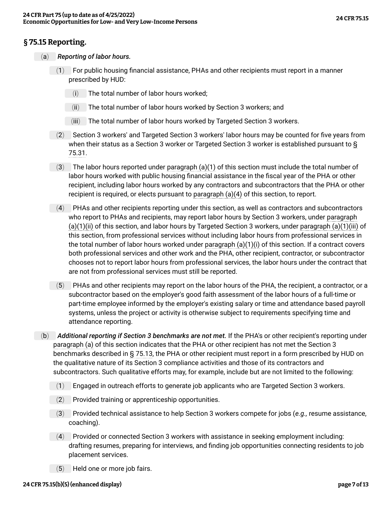# <span id="page-6-5"></span>**§ 75.15 Reporting.**

- <span id="page-6-4"></span><span id="page-6-3"></span><span id="page-6-2"></span><span id="page-6-1"></span>(a) *Reporting of labor hours.*
	- (1) For public housing financial assistance, PHAs and other recipients must report in a manner prescribed by HUD:
		- (i) The total number of labor hours worked;
		- (ii) The total number of labor hours worked by Section 3 workers; and
		- (iii) The total number of labor hours worked by Targeted Section 3 workers.
	- (2) Section 3 workers' and Targeted Section 3 workers' labor hours may be counted for five years from when their status as a Section 3 worker or Targeted Section 3 worker is established pursuant to [§](#page-11-1) [75.31.](#page-11-1)
	- $(3)$  The labor hours reported under [paragraph \(a\)\(1\)](#page-6-1) of this section must include the total number of labor hours worked with public housing financial assistance in the fiscal year of the PHA or other recipient, including labor hours worked by any contractors and subcontractors that the PHA or other recipient is required, or elects pursuant to [paragraph \(a\)\(4\)](#page-6-0) of this section, to report.
	- (4) PHAs and other recipients reporting under this section, as well as contractors and subcontractors who report to PHAs and recipients, may report labor hours by Section 3 workers, under [paragraph](#page-6-2) [\(a\)\(1\)\(ii\)](#page-6-2) of this section, and labor hours by Targeted Section 3 workers, under [paragraph \(a\)\(1\)\(iii\)](#page-6-3) of this section, from professional services without including labor hours from professional services in the total number of labor hours worked under [paragraph \(a\)\(1\)\(i\)](#page-6-4) of this section. If a contract covers both professional services and other work and the PHA, other recipient, contractor, or subcontractor chooses not to report labor hours from professional services, the labor hours under the contract that are not from professional services must still be reported.
	- (5) PHAs and other recipients may report on the labor hours of the PHA, the recipient, a contractor, or a subcontractor based on the employer's good faith assessment of the labor hours of a full-time or part-time employee informed by the employer's existing salary or time and attendance based payroll systems, unless the project or activity is otherwise subject to requirements specifying time and attendance reporting.
- <span id="page-6-6"></span><span id="page-6-0"></span>(b) *Additional reporting if Section 3 benchmarks are not met.* If the PHA's or other recipient's reporting under [paragraph \(a\)](#page-6-5) of this section indicates that the PHA or other recipient has not met the Section 3 benchmarks described in [§ 75.13](#page-5-0), the PHA or other recipient must report in a form prescribed by HUD on the qualitative nature of its Section 3 compliance activities and those of its contractors and subcontractors. Such qualitative efforts may, for example, include but are not limited to the following:
	- (1) Engaged in outreach efforts to generate job applicants who are Targeted Section 3 workers.
	- (2) Provided training or apprenticeship opportunities.
	- (3) Provided technical assistance to help Section 3 workers compete for jobs (*e.g.,* resume assistance, coaching).
	- (4) Provided or connected Section 3 workers with assistance in seeking employment including: drafting resumes, preparing for interviews, and finding job opportunities connecting residents to job placement services.
	- (5) Held one or more job fairs.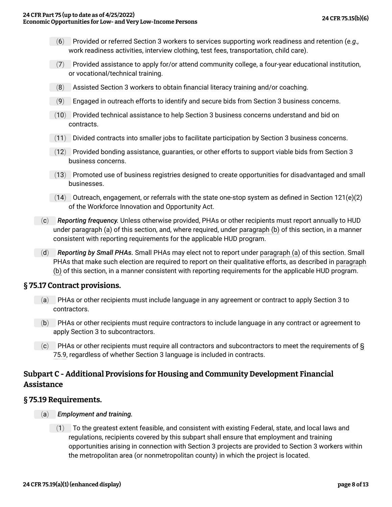- (6) Provided or referred Section 3 workers to services supporting work readiness and retention (*e.g.,* work readiness activities, interview clothing, test fees, transportation, child care).
- $(7)$  Provided assistance to apply for/or attend community college, a four-year educational institution, or vocational/technical training.
- (8) Assisted Section 3 workers to obtain financial literacy training and/or coaching.
- (9) Engaged in outreach efforts to identify and secure bids from Section 3 business concerns.
- (10) Provided technical assistance to help Section 3 business concerns understand and bid on contracts.
- (11) Divided contracts into smaller jobs to facilitate participation by Section 3 business concerns.
- $(12)$  Provided bonding assistance, quaranties, or other efforts to support viable bids from Section 3 business concerns.
- (13) Promoted use of business registries designed to create opportunities for disadvantaged and small businesses.
- $(14)$  Outreach, engagement, or referrals with the state one-stop system as defined in Section 121(e)(2) of the Workforce Innovation and Opportunity Act.
- (c) *Reporting frequency.* Unless otherwise provided, PHAs or other recipients must report annually to HUD under [paragraph \(a\)](#page-6-5) of this section, and, where required, under [paragraph \(b\)](#page-6-6) of this section, in a manner consistent with reporting requirements for the applicable HUD program.
- (d) *Reporting by Small PHAs.* Small PHAs may elect not to report under [paragraph \(a\)](#page-6-5) of this section. Small PHAs that make such election are required to report on their qualitative efforts, as described in [paragraph](#page-6-6) [\(b\)](#page-6-6) of this section, in a manner consistent with reporting requirements for the applicable HUD program.

#### <span id="page-7-0"></span>**§ 75.17 Contract provisions.**

- (a) PHAs or other recipients must include language in any agreement or contract to apply Section 3 to contractors.
- (b) PHAs or other recipients must require contractors to include language in any contract or agreement to apply Section 3 to subcontractors.
- $(c)$  PHAs or other recipients must require all contractors and subcontractors to meet the requirements of  $\overline{S}$ [75.9,](#page-4-1) regardless of whether Section 3 language is included in contracts.

### <span id="page-7-1"></span>**Subpart C - Additional Provisions for Housing and Community Development Financial Assistance**

#### <span id="page-7-3"></span><span id="page-7-2"></span>**§ 75.19 Requirements.**

- (a) *Employment and training.*
	- $(1)$  To the greatest extent feasible, and consistent with existing Federal, state, and local laws and regulations, recipients covered by this subpart shall ensure that employment and training opportunities arising in connection with Section 3 projects are provided to Section 3 workers within the metropolitan area (or nonmetropolitan county) in which the project is located.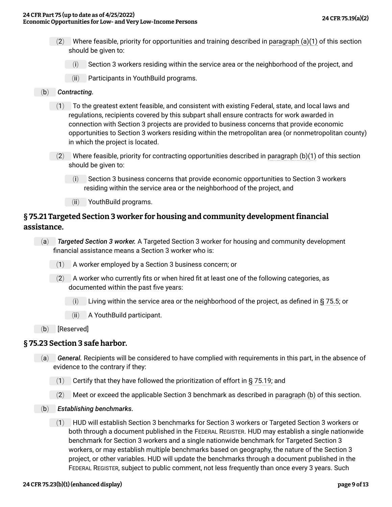- (2) Where feasible, priority for opportunities and training described in [paragraph \(a\)\(1\)](#page-7-3) of this section should be given to:
	- (i) Section 3 workers residing within the service area or the neighborhood of the project, and
	- (ii) Participants in YouthBuild programs.
- <span id="page-8-2"></span>(b) *Contracting.*
	- (1) To the greatest extent feasible, and consistent with existing Federal, state, and local laws and regulations, recipients covered by this subpart shall ensure contracts for work awarded in connection with Section 3 projects are provided to business concerns that provide economic opportunities to Section 3 workers residing within the metropolitan area (or nonmetropolitan county) in which the project is located.
	- $(2)$  Where feasible, priority for contracting opportunities described in [paragraph \(b\)\(1\)](#page-8-2) of this section should be given to:
		- (i) Section 3 business concerns that provide economic opportunities to Section 3 workers residing within the service area or the neighborhood of the project, and
		- (ii) YouthBuild programs.

# <span id="page-8-4"></span><span id="page-8-0"></span>**§ 75.21 Targeted Section 3 worker for housing and community development financial assistance.**

- (a) *Targeted Section 3 worker.* A Targeted Section 3 worker for housing and community development financial assistance means a Section 3 worker who is:
	- (1) A worker employed by a Section 3 business concern; or
	- $(2)$  A worker who currently fits or when hired fit at least one of the following categories, as documented within the past five years:
		- (i) Living within the service area or the neighborhood of the project, as defined in [§ 75.5;](#page-2-0) or
		- (ii) A YouthBuild participant.
- (b) [Reserved]

#### <span id="page-8-1"></span>**§ 75.23 Section 3 safe harbor.**

- (a) *General.* Recipients will be considered to have complied with requirements in this part, in the absence of evidence to the contrary if they:
	- $(1)$  Certify that they have followed the prioritization of effort in [§ 75.19;](#page-7-2) and
	- (2) Meet or exceed the applicable Section 3 benchmark as described in [paragraph \(b\)](#page-8-3) of this section.
- <span id="page-8-3"></span>(b) *Establishing benchmarks.*
	- (1) HUD will establish Section 3 benchmarks for Section 3 workers or Targeted Section 3 workers or both through a document published in the FEDERAL REGISTER. HUD may establish a single nationwide benchmark for Section 3 workers and a single nationwide benchmark for Targeted Section 3 workers, or may establish multiple benchmarks based on geography, the nature of the Section 3 project, or other variables. HUD will update the benchmarks through a document published in the FEDERAL REGISTER, subject to public comment, not less frequently than once every 3 years. Such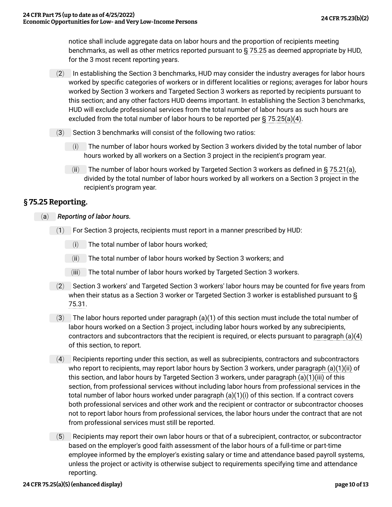notice shall include aggregate data on labor hours and the proportion of recipients meeting benchmarks, as well as other metrics reported pursuant to [§ 75.25](#page-9-0) as deemed appropriate by HUD, for the 3 most recent reporting years.

- (2) In establishing the Section 3 benchmarks, HUD may consider the industry averages for labor hours worked by specific categories of workers or in different localities or regions; averages for labor hours worked by Section 3 workers and Targeted Section 3 workers as reported by recipients pursuant to this section; and any other factors HUD deems important. In establishing the Section 3 benchmarks, HUD will exclude professional services from the total number of labor hours as such hours are excluded from the total number of labor hours to be reported per [§ 75.25\(a\)\(4\).](#page-9-1)
- (3) Section 3 benchmarks will consist of the following two ratios:
	- (i) The number of labor hours worked by Section 3 workers divided by the total number of labor hours worked by all workers on a Section 3 project in the recipient's program year.
	- (ii) The number of labor hours worked by Targeted Section 3 workers as defined in  $\S$  75.21(a), divided by the total number of labor hours worked by all workers on a Section 3 project in the recipient's program year.

### <span id="page-9-6"></span><span id="page-9-0"></span>**§ 75.25 Reporting.**

- <span id="page-9-5"></span><span id="page-9-4"></span><span id="page-9-3"></span><span id="page-9-2"></span><span id="page-9-1"></span>(a) *Reporting of labor hours.*
	- (1) For Section 3 projects, recipients must report in a manner prescribed by HUD:
		- (i) The total number of labor hours worked;
		- (ii) The total number of labor hours worked by Section 3 workers; and
		- (iii) The total number of labor hours worked by Targeted Section 3 workers.
	- (2) Section 3 workers' and Targeted Section 3 workers' labor hours may be counted for five years from when their status as a Section 3 worker or Targeted Section 3 worker is established pursuant to [§](#page-11-1) [75.31.](#page-11-1)
	- $(3)$  The labor hours reported under paragraph  $(a)(1)$  of this section must include the total number of labor hours worked on a Section 3 project, including labor hours worked by any subrecipients, contractors and subcontractors that the recipient is required, or elects pursuant to [paragraph \(a\)\(4\)](#page-9-1) of this section, to report.
	- (4) Recipients reporting under this section, as well as subrecipients, contractors and subcontractors who report to recipients, may report labor hours by Section 3 workers, under [paragraph \(a\)\(1\)\(ii\)](#page-9-3) of this section, and labor hours by Targeted Section 3 workers, under [paragraph \(a\)\(1\)\(iii\)](#page-9-4) of this section, from professional services without including labor hours from professional services in the total number of labor hours worked under [paragraph \(a\)\(1\)\(i\)](#page-9-5) of this section. If a contract covers both professional services and other work and the recipient or contractor or subcontractor chooses not to report labor hours from professional services, the labor hours under the contract that are not from professional services must still be reported.
	- (5) Recipients may report their own labor hours or that of a subrecipient, contractor, or subcontractor based on the employer's good faith assessment of the labor hours of a full-time or part-time employee informed by the employer's existing salary or time and attendance based payroll systems, unless the project or activity is otherwise subject to requirements specifying time and attendance reporting.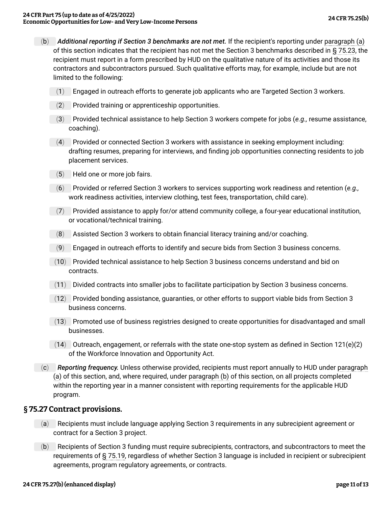- <span id="page-10-2"></span>(b) *Additional reporting if Section 3 benchmarks are not met.* If the recipient's reporting under [paragraph \(a\)](#page-9-6) of this section indicates that the recipient has not met the Section 3 benchmarks described in [§ 75.23](#page-8-1), the recipient must report in a form prescribed by HUD on the qualitative nature of its activities and those its contractors and subcontractors pursued. Such qualitative efforts may, for example, include but are not limited to the following:
	- (1) Engaged in outreach efforts to generate job applicants who are Targeted Section 3 workers.
	- (2) Provided training or apprenticeship opportunities.
	- (3) Provided technical assistance to help Section 3 workers compete for jobs (*e.g.,* resume assistance, coaching).
	- (4) Provided or connected Section 3 workers with assistance in seeking employment including: drafting resumes, preparing for interviews, and finding job opportunities connecting residents to job placement services.
	- (5) Held one or more job fairs.
	- (6) Provided or referred Section 3 workers to services supporting work readiness and retention (*e.g.,* work readiness activities, interview clothing, test fees, transportation, child care).
	- (7) Provided assistance to apply for/or attend community college, a four-year educational institution, or vocational/technical training.
	- (8) Assisted Section 3 workers to obtain financial literacy training and/or coaching.
	- (9) Engaged in outreach efforts to identify and secure bids from Section 3 business concerns.
	- (10) Provided technical assistance to help Section 3 business concerns understand and bid on contracts.
	- (11) Divided contracts into smaller jobs to facilitate participation by Section 3 business concerns.
	- (12) Provided bonding assistance, guaranties, or other efforts to support viable bids from Section 3 business concerns.
	- (13) Promoted use of business registries designed to create opportunities for disadvantaged and small businesses.
	- $(14)$  Outreach, engagement, or referrals with the state one-stop system as defined in Section 121(e)(2) of the Workforce Innovation and Opportunity Act.
	- (c) *Reporting frequency.* Unless otherwise provided, recipients must report annually to HUD under [paragraph](#page-9-6) [\(a\)](#page-9-6) of this section, and, where required, under [paragraph \(b\)](#page-10-2) of this section, on all projects completed within the reporting year in a manner consistent with reporting requirements for the applicable HUD program.

#### <span id="page-10-0"></span>**§ 75.27 Contract provisions.**

- (a) Recipients must include language applying Section 3 requirements in any subrecipient agreement or contract for a Section 3 project.
- <span id="page-10-1"></span>(b) Recipients of Section 3 funding must require subrecipients, contractors, and subcontractors to meet the requirements of [§ 75.19](#page-7-2), regardless of whether Section 3 language is included in recipient or subrecipient agreements, program regulatory agreements, or contracts.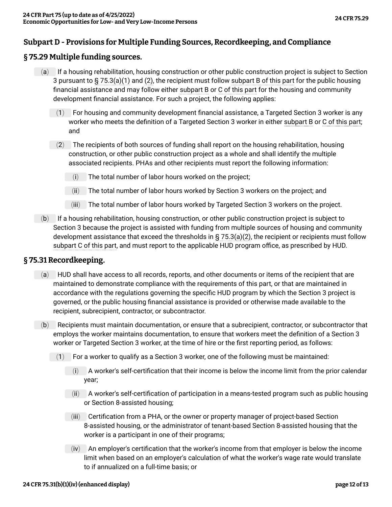### **Subpart D - Provisions for Multiple Funding Sources, Recordkeeping, and Compliance**

### <span id="page-11-0"></span>**§ 75.29 Multiple funding sources.**

- (a) If a housing rehabilitation, housing construction or other public construction project is subject to Section 3 pursuant to [§ 75.3\(a\)\(1\)](#page-1-4) and [\(2\),](#page-1-5) the recipient must follow [subpart B of this part](#page-4-0) for the public housing financial assistance and may follow either [subpart B](#page-4-0) or [C of this part](#page-7-1) for the housing and community development financial assistance. For such a project, the following applies:
	- $(1)$  For housing and community development financial assistance, a Targeted Section 3 worker is any worker who meets the definition of a Targeted Section 3 worker in either [subpart B](#page-4-0) or [C of this part;](#page-7-1) and
	- $(2)$  The recipients of both sources of funding shall report on the housing rehabilitation, housing construction, or other public construction project as a whole and shall identify the multiple associated recipients. PHAs and other recipients must report the following information:
		- (i) The total number of labor hours worked on the project;
		- (ii) The total number of labor hours worked by Section 3 workers on the project; and
		- (iii) The total number of labor hours worked by Targeted Section 3 workers on the project.
- (b) If a housing rehabilitation, housing construction, or other public construction project is subject to Section 3 because the project is assisted with funding from multiple sources of housing and community development assistance that exceed the thresholds in [§ 75.3\(a\)\(2\),](#page-1-5) the recipient or recipients must follow [subpart C of this part](#page-7-1), and must report to the applicable HUD program office, as prescribed by HUD.

#### <span id="page-11-1"></span>**§ 75.31 Recordkeeping.**

- (a) HUD shall have access to all records, reports, and other documents or items of the recipient that are maintained to demonstrate compliance with the requirements of this part, or that are maintained in accordance with the regulations governing the specific HUD program by which the Section 3 project is governed, or the public housing financial assistance is provided or otherwise made available to the recipient, subrecipient, contractor, or subcontractor.
- <span id="page-11-2"></span>(b) Recipients must maintain documentation, or ensure that a subrecipient, contractor, or subcontractor that employs the worker maintains documentation, to ensure that workers meet the definition of a Section 3 worker or Targeted Section 3 worker, at the time of hire or the first reporting period, as follows:
	- $(1)$  For a worker to qualify as a Section 3 worker, one of the following must be maintained:
		- (i) A worker's self-certification that their income is below the income limit from the prior calendar year;
		- (ii) A worker's self-certification of participation in a means-tested program such as public housing or Section 8-assisted housing;
		- (iii) Certification from a PHA, or the owner or property manager of project-based Section 8-assisted housing, or the administrator of tenant-based Section 8-assisted housing that the worker is a participant in one of their programs;
		- (iv) An employer's certification that the worker's income from that employer is below the income limit when based on an employer's calculation of what the worker's wage rate would translate to if annualized on a full-time basis; or